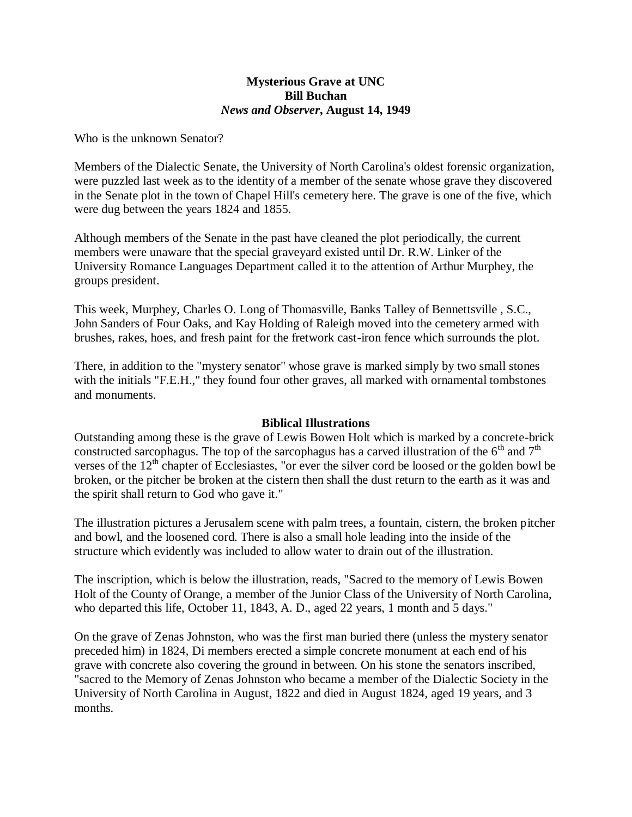## **Mysterious Grave at UNC Bill Buchan** *News and Observer***, August 14, 1949**

Who is the unknown Senator?

Members of the Dialectic Senate, the University of North Carolina's oldest forensic organization, were puzzled last week as to the identity of a member of the senate whose grave they discovered in the Senate plot in the town of Chapel Hill's cemetery here. The grave is one of the five, which were dug between the years 1824 and 1855.

Although members of the Senate in the past have cleaned the plot periodically, the current members were unaware that the special graveyard existed until Dr. R.W. Linker of the University Romance Languages Department called it to the attention of Arthur Murphey, the groups president.

This week, Murphey, Charles O. Long of Thomasville, Banks Talley of Bennettsville , S.C., John Sanders of Four Oaks, and Kay Holding of Raleigh moved into the cemetery armed with brushes, rakes, hoes, and fresh paint for the fretwork cast-iron fence which surrounds the plot.

There, in addition to the "mystery senator" whose grave is marked simply by two small stones with the initials "F.E.H.," they found four other graves, all marked with ornamental tombstones and monuments.

## **Biblical Illustrations**

Outstanding among these is the grave of Lewis Bowen Holt which is marked by a concrete-brick constructed sarcophagus. The top of the sarcophagus has a carved illustration of the  $6<sup>th</sup>$  and  $7<sup>th</sup>$ verses of the  $12<sup>th</sup>$  chapter of Ecclesiastes, "or ever the silver cord be loosed or the golden bowl be broken, or the pitcher be broken at the cistern then shall the dust return to the earth as it was and the spirit shall return to God who gave it."

The illustration pictures a Jerusalem scene with palm trees, a fountain, cistern, the broken pitcher and bowl, and the loosened cord. There is also a small hole leading into the inside of the structure which evidently was included to allow water to drain out of the illustration.

The inscription, which is below the illustration, reads, "Sacred to the memory of Lewis Bowen Holt of the County of Orange, a member of the Junior Class of the University of North Carolina, who departed this life, October 11, 1843, A. D., aged 22 years, 1 month and 5 days."

On the grave of Zenas Johnston, who was the first man buried there (unless the mystery senator preceded him) in 1824, Di members erected a simple concrete monument at each end of his grave with concrete also covering the ground in between. On his stone the senators inscribed, "sacred to the Memory of Zenas Johnston who became a member of the Dialectic Society in the University of North Carolina in August, 1822 and died in August 1824, aged 19 years, and 3 months.